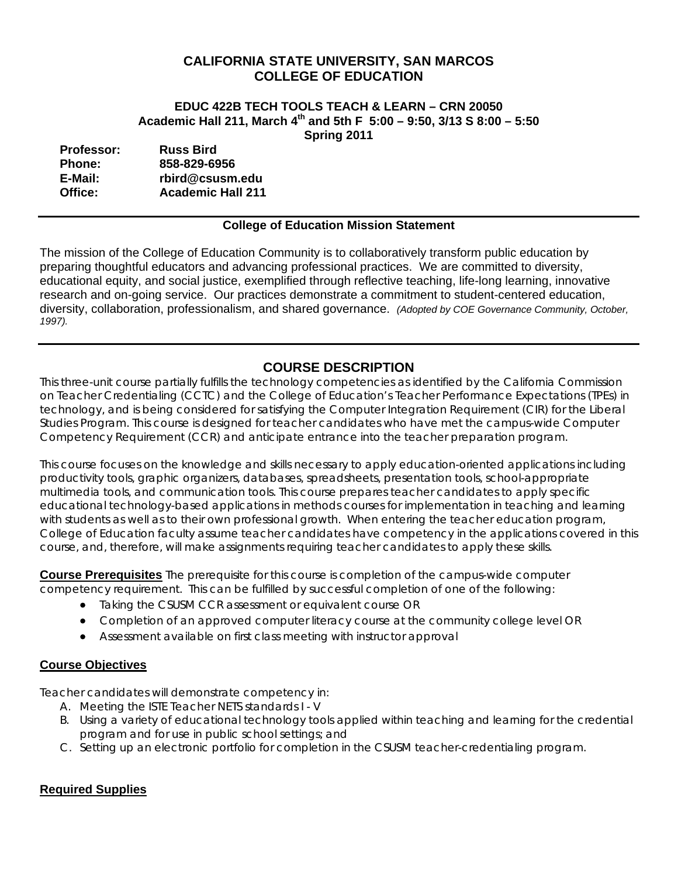## **CALIFORNIA STATE UNIVERSITY, SAN MARCOS COLLEGE OF EDUCATION**

#### **EDUC 422B TECH TOOLS TEACH & LEARN – CRN 20050 Academic Hall 211, March 4th and 5th F 5:00 – 9:50, 3/13 S 8:00 – 5:50 Spring 2011**

| <b>Professor:</b> | <b>Russ Bird</b>         |
|-------------------|--------------------------|
| <b>Phone:</b>     | 858-829-6956             |
| E-Mail:           | rbird@csusm.edu          |
| Office:           | <b>Academic Hall 211</b> |

#### **College of Education Mission Statement**

The mission of the College of Education Community is to collaboratively transform public education by preparing thoughtful educators and advancing professional practices. We are committed to diversity, educational equity, and social justice, exemplified through reflective teaching, life-long learning, innovative research and on-going service. Our practices demonstrate a commitment to student-centered education, diversity, collaboration, professionalism, and shared governance. *(Adopted by COE Governance Community, October, 1997).* 

# **COURSE DESCRIPTION**

This three-unit course partially fulfills the technology competencies as identified by the California Commission on Teacher Credentialing (CCTC) and the College of Education's Teacher Performance Expectations (TPEs) in technology, and is being considered for satisfying the Computer Integration Requirement (CIR) for the Liberal Studies Program. This course is designed for teacher candidates who have met the campus-wide Computer Competency Requirement (CCR) and anticipate entrance into the teacher preparation program.

 course, and, therefore, will make assignments requiring teacher candidates to apply these skills. This course focuses on the knowledge and skills necessary to apply education-oriented applications including productivity tools, graphic organizers, databases, spreadsheets, presentation tools, school-appropriate multimedia tools, and communication tools. This course prepares teacher candidates to apply specific educational technology-based applications in methods courses for implementation in teaching and learning with students as well as to their own professional growth. When entering the teacher education program, College of Education faculty assume teacher candidates have competency in the applications covered in this

**Course Prerequisites** The prerequisite for this course is completion of the campus-wide computer competency requirement. This can be fulfilled by successful completion of one of the following:

- Taking the CSUSM CCR assessment or equivalent course OR
- Completion of an approved computer literacy course at the community college level OR
- Assessment available on first class meeting with instructor approval

## **Course Objectives**

Teacher candidates will demonstrate competency in:

- A. Meeting the ISTE Teacher NETS standards I V
- B. Using a variety of educational technology tools applied within teaching and learning for the credential program and for use in public school settings; and
- C. Setting up an electronic portfolio for completion in the CSUSM teacher-credentialing program.

## **Required Supplies**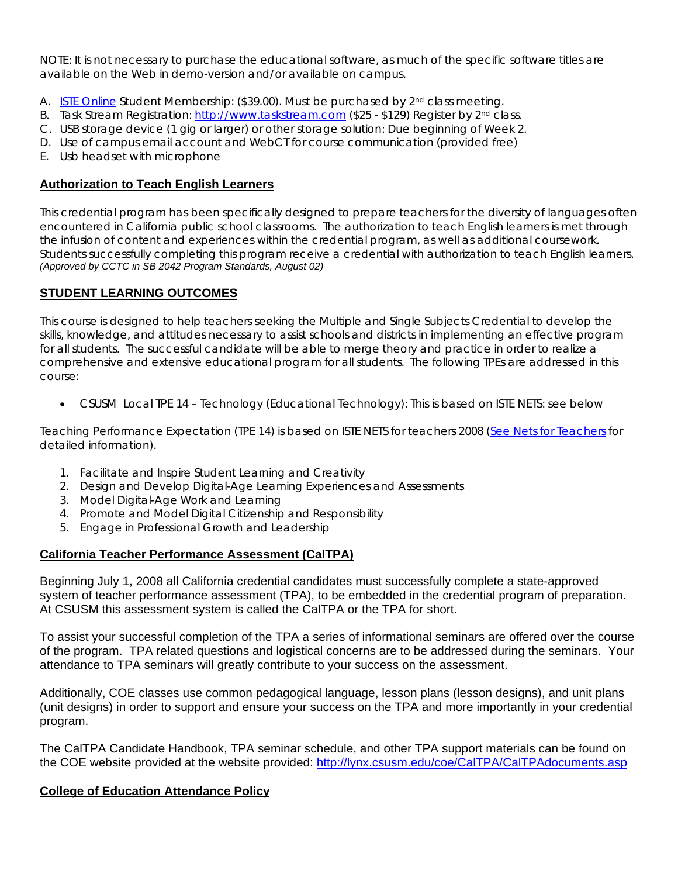NOTE: It is not necessary to purchase the educational software, as much of the specific software titles are available on the Web in demo-version and/or available on campus.

- A. ISTE Online Student Membership: (\$39.00). Must be purchased by 2<sup>nd</sup> class meeting.
- B. Task Stream Registration: http://www.taskstream.com (\$25 \$129) Register by 2<sup>nd</sup> class.
- C. USB storage device (1 gig or larger) or other storage solution: Due beginning of Week 2.
- D. Use of campus email account and WebCT for course communication (provided free)
- E. Usb headset with microphone

#### **Authorization to Teach English Learners**

the infusion of content and experiences within the credential program, as well as additional coursework. This credential program has been specifically designed to prepare teachers for the diversity of languages often encountered in California public school classrooms. The authorization to teach English learners is met through Students successfully completing this program receive a credential with authorization to teach English learners. *(Approved by CCTC in SB 2042 Program Standards, August 02)* 

#### **STUDENT LEARNING OUTCOMES**

This course is designed to help teachers seeking the Multiple and Single Subjects Credential to develop the skills, knowledge, and attitudes necessary to assist schools and districts in implementing an effective program for all students. The successful candidate will be able to merge theory and practice in order to realize a comprehensive and extensive educational program for all students. The following TPEs are addressed in this course:

CSUSM Local TPE 14 – Technology (Educational Technology): This is based on ISTE NETS: see below

Teaching Performance Expectation (TPE 14) is based on ISTE NETS for teachers 2008 (See Nets for Teachers for detailed information).

- 1. Facilitate and Inspire Student Learning and Creativity
- 2. Design and Develop Digital-Age Learning Experiences and Assessments
- 3. Model Digital-Age Work and Learning
- 4. Promote and Model Digital Citizenship and Responsibility
- 5. Engage in Professional Growth and Leadership

#### **California Teacher Performance Assessment (CalTPA)**

Beginning July 1, 2008 all California credential candidates must successfully complete a state-approved system of teacher performance assessment (TPA), to be embedded in the credential program of preparation. At CSUSM this assessment system is called the CalTPA or the TPA for short.

To assist your successful completion of the TPA a series of informational seminars are offered over the course of the program. TPA related questions and logistical concerns are to be addressed during the seminars. Your attendance to TPA seminars will greatly contribute to your success on the assessment.

Additionally, COE classes use common pedagogical language, lesson plans (lesson designs), and unit plans (unit designs) in order to support and ensure your success on the TPA and more importantly in your credential program.

The CalTPA Candidate Handbook, TPA seminar schedule, and other TPA support materials can be found on the COE website provided at the website provided: http://lynx.csusm.edu/coe/CalTPA/CalTPAdocuments.asp

#### **College of Education Attendance Policy**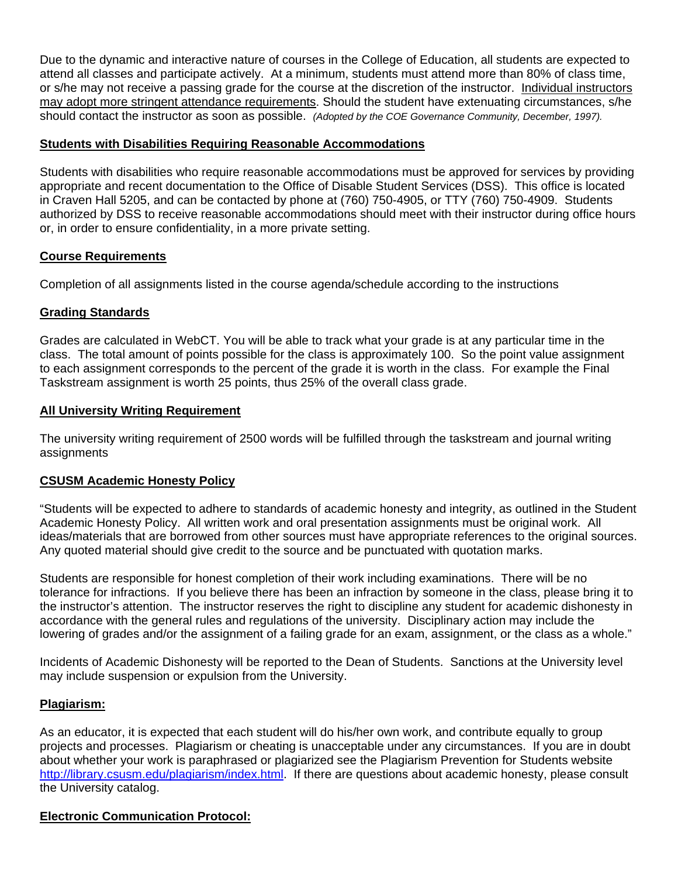should contact the instructor as soon as possible. *(Adopted by the COE Governance Community, December, 1997).* Due to the dynamic and interactive nature of courses in the College of Education, all students are expected to attend all classes and participate actively. At a minimum, students must attend more than 80% of class time, or s/he may not receive a passing grade for the course at the discretion of the instructor. Individual instructors may adopt more stringent attendance requirements. Should the student have extenuating circumstances, s/he

#### **Students with Disabilities Requiring Reasonable Accommodations**

Students with disabilities who require reasonable accommodations must be approved for services by providing appropriate and recent documentation to the Office of Disable Student Services (DSS). This office is located in Craven Hall 5205, and can be contacted by phone at (760) 750-4905, or TTY (760) 750-4909. Students authorized by DSS to receive reasonable accommodations should meet with their instructor during office hours or, in order to ensure confidentiality, in a more private setting.

### **Course Requirements**

Completion of all assignments listed in the course agenda/schedule according to the instructions

### **Grading Standards**

Grades are calculated in WebCT. You will be able to track what your grade is at any particular time in the class. The total amount of points possible for the class is approximately 100. So the point value assignment to each assignment corresponds to the percent of the grade it is worth in the class. For example the Final Taskstream assignment is worth 25 points, thus 25% of the overall class grade.

### **All University Writing Requirement**

The university writing requirement of 2500 words will be fulfilled through the taskstream and journal writing **assignments** 

#### **CSUSM Academic Honesty Policy**

"Students will be expected to adhere to standards of academic honesty and integrity, as outlined in the Student Academic Honesty Policy. All written work and oral presentation assignments must be original work. All ideas/materials that are borrowed from other sources must have appropriate references to the original sources. Any quoted material should give credit to the source and be punctuated with quotation marks.

Students are responsible for honest completion of their work including examinations. There will be no tolerance for infractions. If you believe there has been an infraction by someone in the class, please bring it to the instructor's attention. The instructor reserves the right to discipline any student for academic dishonesty in accordance with the general rules and regulations of the university. Disciplinary action may include the lowering of grades and/or the assignment of a failing grade for an exam, assignment, or the class as a whole."

Incidents of Academic Dishonesty will be reported to the Dean of Students. Sanctions at the University level may include suspension or expulsion from the University.

#### **Plagiarism:**

As an educator, it is expected that each student will do his/her own work, and contribute equally to group projects and processes. Plagiarism or cheating is unacceptable under any circumstances. If you are in doubt about whether your work is paraphrased or plagiarized see the Plagiarism Prevention for Students website http://library.csusm.edu/plagiarism/index.html. If there are questions about academic honesty, please consult the University catalog.

## **Electronic Communication Protocol:**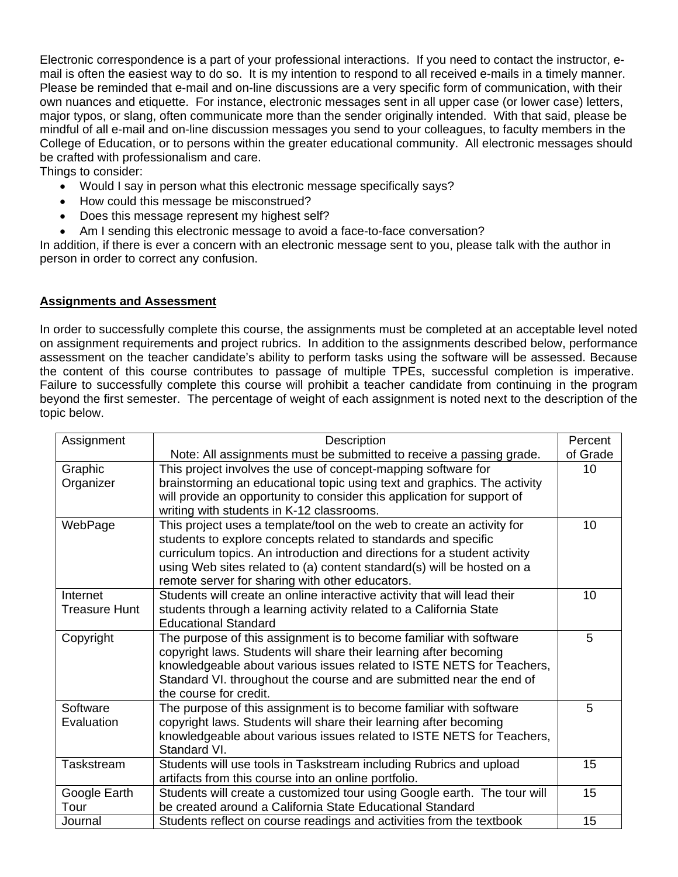Electronic correspondence is a part of your professional interactions. If you need to contact the instructor, email is often the easiest way to do so. It is my intention to respond to all received e-mails in a timely manner. Please be reminded that e-mail and on-line discussions are a very specific form of communication, with their own nuances and etiquette. For instance, electronic messages sent in all upper case (or lower case) letters, major typos, or slang, often communicate more than the sender originally intended. With that said, please be mindful of all e-mail and on-line discussion messages you send to your colleagues, to faculty members in the College of Education, or to persons within the greater educational community. All electronic messages should be crafted with professionalism and care.

Things to consider:

- Would I say in person what this electronic message specifically says?
- How could this message be misconstrued?
- Does this message represent my highest self?
- Am I sending this electronic message to avoid a face-to-face conversation?

In addition, if there is ever a concern with an electronic message sent to you, please talk with the author in person in order to correct any confusion.

#### **Assignments and Assessment**

In order to successfully complete this course, the assignments must be completed at an acceptable level noted on assignment requirements and project rubrics. In addition to the assignments described below, performance assessment on the teacher candidate's ability to perform tasks using the software will be assessed. Because the content of this course contributes to passage of multiple TPEs, successful completion is imperative. Failure to successfully complete this course will prohibit a teacher candidate from continuing in the program beyond the first semester. The percentage of weight of each assignment is noted next to the description of the topic below.

| Description<br>Assignment                                                                  |                                                                          | Percent  |  |  |  |
|--------------------------------------------------------------------------------------------|--------------------------------------------------------------------------|----------|--|--|--|
|                                                                                            | Note: All assignments must be submitted to receive a passing grade.      | of Grade |  |  |  |
| Graphic                                                                                    | This project involves the use of concept-mapping software for            |          |  |  |  |
| Organizer                                                                                  | brainstorming an educational topic using text and graphics. The activity |          |  |  |  |
| will provide an opportunity to consider this application for support of                    |                                                                          |          |  |  |  |
|                                                                                            | writing with students in K-12 classrooms.                                |          |  |  |  |
| WebPage                                                                                    | This project uses a template/tool on the web to create an activity for   |          |  |  |  |
|                                                                                            | students to explore concepts related to standards and specific           |          |  |  |  |
|                                                                                            | curriculum topics. An introduction and directions for a student activity |          |  |  |  |
|                                                                                            | using Web sites related to (a) content standard(s) will be hosted on a   |          |  |  |  |
|                                                                                            | remote server for sharing with other educators.                          |          |  |  |  |
| Internet                                                                                   | Students will create an online interactive activity that will lead their | 10       |  |  |  |
| students through a learning activity related to a California State<br><b>Treasure Hunt</b> |                                                                          |          |  |  |  |
|                                                                                            | <b>Educational Standard</b>                                              |          |  |  |  |
| Copyright                                                                                  | The purpose of this assignment is to become familiar with software       | 5        |  |  |  |
|                                                                                            | copyright laws. Students will share their learning after becoming        |          |  |  |  |
|                                                                                            | knowledgeable about various issues related to ISTE NETS for Teachers,    |          |  |  |  |
|                                                                                            | Standard VI. throughout the course and are submitted near the end of     |          |  |  |  |
|                                                                                            | the course for credit.                                                   |          |  |  |  |
| Software                                                                                   | The purpose of this assignment is to become familiar with software       | 5        |  |  |  |
| Evaluation                                                                                 | copyright laws. Students will share their learning after becoming        |          |  |  |  |
|                                                                                            | knowledgeable about various issues related to ISTE NETS for Teachers,    |          |  |  |  |
|                                                                                            | Standard VI.                                                             |          |  |  |  |
| Taskstream                                                                                 | Students will use tools in Taskstream including Rubrics and upload       | 15       |  |  |  |
|                                                                                            | artifacts from this course into an online portfolio.                     | 15       |  |  |  |
| Google Earth                                                                               | Students will create a customized tour using Google earth. The tour will |          |  |  |  |
| Tour                                                                                       | be created around a California State Educational Standard                |          |  |  |  |
| Students reflect on course readings and activities from the textbook<br>Journal            |                                                                          |          |  |  |  |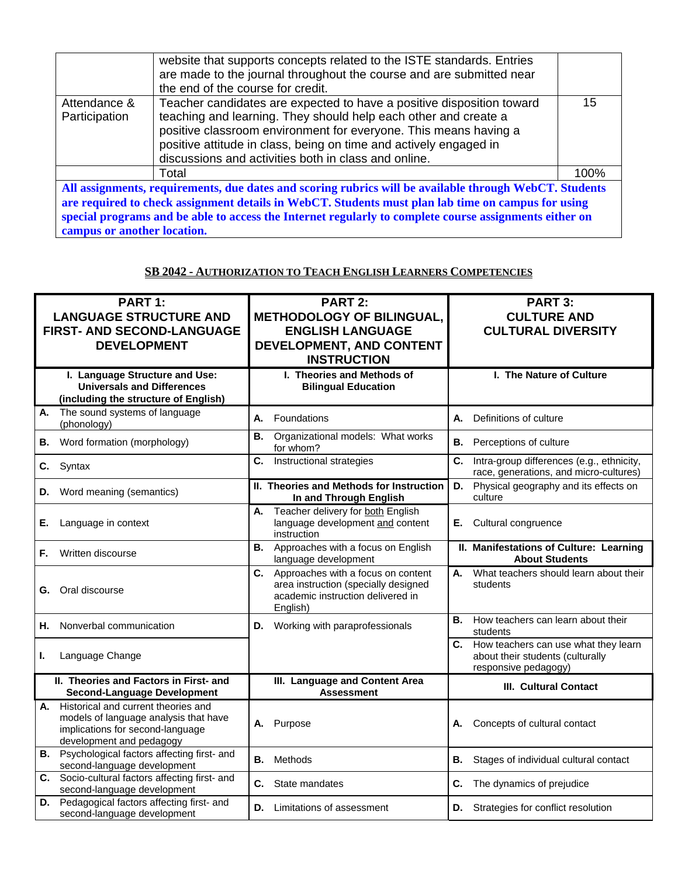| website that supports concepts related to the ISTE standards. Entries                                                                                                                                                                                                                                       |      |  |  |  |
|-------------------------------------------------------------------------------------------------------------------------------------------------------------------------------------------------------------------------------------------------------------------------------------------------------------|------|--|--|--|
| are made to the journal throughout the course and are submitted near                                                                                                                                                                                                                                        |      |  |  |  |
| the end of the course for credit.                                                                                                                                                                                                                                                                           |      |  |  |  |
|                                                                                                                                                                                                                                                                                                             |      |  |  |  |
| Teacher candidates are expected to have a positive disposition toward<br>Attendance &                                                                                                                                                                                                                       | 15   |  |  |  |
| teaching and learning. They should help each other and create a<br>Participation                                                                                                                                                                                                                            |      |  |  |  |
| positive classroom environment for everyone. This means having a                                                                                                                                                                                                                                            |      |  |  |  |
| positive attitude in class, being on time and actively engaged in                                                                                                                                                                                                                                           |      |  |  |  |
|                                                                                                                                                                                                                                                                                                             |      |  |  |  |
| discussions and activities both in class and online.                                                                                                                                                                                                                                                        |      |  |  |  |
| Total                                                                                                                                                                                                                                                                                                       | 100% |  |  |  |
|                                                                                                                                                                                                                                                                                                             |      |  |  |  |
| All assignments, requirements, due dates and scoring rubrics will be available through WebCT. Students                                                                                                                                                                                                      |      |  |  |  |
| $\mathbf{u}$ , $\mathbf{u}$ , $\mathbf{u}$ , $\mathbf{u}$ , $\mathbf{u}$ , $\mathbf{v}$ , $\mathbf{v}$ , $\mathbf{v}$ , $\mathbf{v}$ , $\mathbf{v}$ , $\mathbf{v}$ , $\mathbf{v}$ , $\mathbf{v}$ , $\mathbf{v}$ , $\mathbf{v}$ , $\mathbf{v}$ , $\mathbf{v}$ , $\mathbf{v}$ , $\mathbf{v}$ , $\mathbf{v}$ , |      |  |  |  |

**are required to check assignment details in WebCT. Students must plan lab time on campus for using special programs and be able to access the Internet regularly to complete course assignments either on campus or another location.** 

#### **SB 2042 - AUTHORIZATION TO TEACH ENGLISH LEARNERS COMPETENCIES**

| <b>PART 1:</b>                                                                                                                                     | <b>PART 2:</b>                                                                                                                    | <b>PART 3:</b>                                                                                      |  |
|----------------------------------------------------------------------------------------------------------------------------------------------------|-----------------------------------------------------------------------------------------------------------------------------------|-----------------------------------------------------------------------------------------------------|--|
| <b>LANGUAGE STRUCTURE AND</b><br>FIRST- AND SECOND-LANGUAGE                                                                                        | <b>METHODOLOGY OF BILINGUAL,</b><br><b>ENGLISH LANGUAGE</b>                                                                       | <b>CULTURE AND</b><br><b>CULTURAL DIVERSITY</b>                                                     |  |
| <b>DEVELOPMENT</b>                                                                                                                                 | DEVELOPMENT, AND CONTENT                                                                                                          |                                                                                                     |  |
|                                                                                                                                                    | <b>INSTRUCTION</b>                                                                                                                |                                                                                                     |  |
| I. Language Structure and Use:<br><b>Universals and Differences</b><br>(including the structure of English)                                        | I. Theories and Methods of<br><b>Bilingual Education</b>                                                                          | I. The Nature of Culture                                                                            |  |
| The sound systems of language<br>А.<br>(phonology)                                                                                                 | Foundations<br>А.                                                                                                                 | Definitions of culture<br>А.                                                                        |  |
| В.<br>Word formation (morphology)                                                                                                                  | Organizational models: What works<br>В.<br>for whom?                                                                              | В.<br>Perceptions of culture                                                                        |  |
| C.<br>Syntax                                                                                                                                       | Instructional strategies<br>C.                                                                                                    | Intra-group differences (e.g., ethnicity,<br>C.<br>race, generations, and micro-cultures)           |  |
| Word meaning (semantics)<br>D.                                                                                                                     | II. Theories and Methods for Instruction<br>In and Through English                                                                | D.<br>Physical geography and its effects on<br>culture                                              |  |
| Language in context<br>Е.                                                                                                                          | Teacher delivery for both English<br>А.<br>language development and content<br>instruction                                        | Cultural congruence<br>Е.                                                                           |  |
| Written discourse<br>F.                                                                                                                            | Approaches with a focus on English<br>В.<br>language development                                                                  | II. Manifestations of Culture: Learning<br><b>About Students</b>                                    |  |
| Oral discourse<br>G.                                                                                                                               | Approaches with a focus on content<br>C.<br>area instruction (specially designed<br>academic instruction delivered in<br>English) | What teachers should learn about their<br>А.<br>students                                            |  |
| Nonverbal communication<br>Н.                                                                                                                      | <b>D.</b> Working with paraprofessionals                                                                                          | В.<br>How teachers can learn about their<br>students                                                |  |
| Language Change<br>ı.                                                                                                                              |                                                                                                                                   | C. How teachers can use what they learn<br>about their students (culturally<br>responsive pedagogy) |  |
| II. Theories and Factors in First- and<br><b>Second-Language Development</b>                                                                       | III. Language and Content Area<br><b>Assessment</b>                                                                               | III. Cultural Contact                                                                               |  |
| Historical and current theories and<br>А.<br>models of language analysis that have<br>implications for second-language<br>development and pedagogy | Purpose<br>А.                                                                                                                     | Concepts of cultural contact<br>А.                                                                  |  |
| <b>B.</b> Psychological factors affecting first- and<br>second-language development                                                                | В.<br>Methods                                                                                                                     | В.<br>Stages of individual cultural contact                                                         |  |
| C. Socio-cultural factors affecting first- and<br>second-language development                                                                      | C.<br>State mandates                                                                                                              | C.<br>The dynamics of prejudice                                                                     |  |
| Pedagogical factors affecting first- and<br>D.<br>second-language development                                                                      | Limitations of assessment<br>D.                                                                                                   | <b>D.</b> Strategies for conflict resolution                                                        |  |